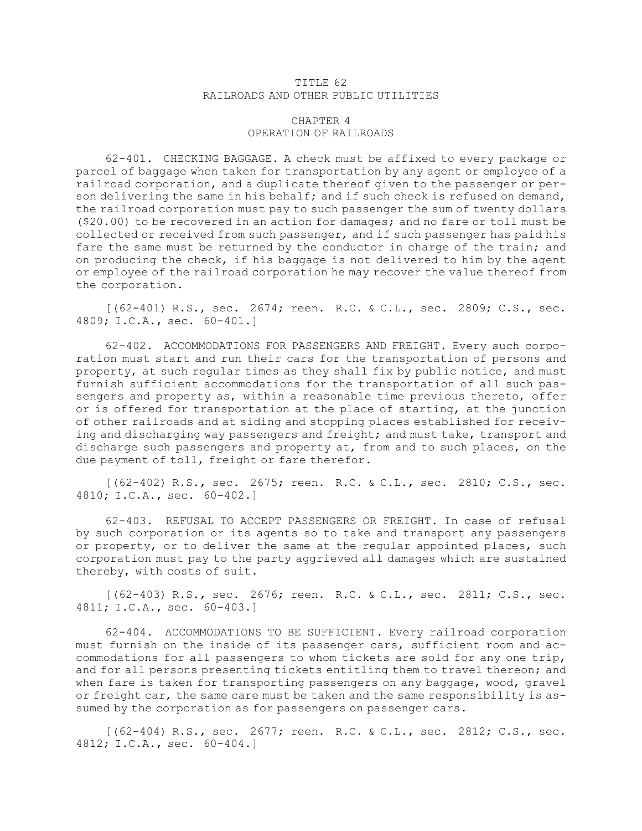## TITLE 62 RAILROADS AND OTHER PUBLIC UTILITIES

## CHAPTER 4 OPERATION OF RAILROADS

62-401. CHECKING BAGGAGE. <sup>A</sup> check must be affixed to every package or parcel of baggage when taken for transportation by any agent or employee of <sup>a</sup> railroad corporation, and <sup>a</sup> duplicate thereof given to the passenger or person delivering the same in his behalf; and if such check is refused on demand, the railroad corporation must pay to such passenger the sum of twenty dollars (\$20.00) to be recovered in an action for damages; and no fare or toll must be collected or received from such passenger, and if such passenger has paid his fare the same must be returned by the conductor in charge of the train; and on producing the check, if his baggage is not delivered to him by the agent or employee of the railroad corporation he may recover the value thereof from the corporation.

[(62-401) R.S., sec. 2674; reen. R.C. & C.L., sec. 2809; C.S., sec. 4809; I.C.A., sec. 60-401.]

62-402. ACCOMMODATIONS FOR PASSENGERS AND FREIGHT. Every such corporation must start and run their cars for the transportation of persons and property, at such regular times as they shall fix by public notice, and must furnish sufficient accommodations for the transportation of all such passengers and property as, within <sup>a</sup> reasonable time previous thereto, offer or is offered for transportation at the place of starting, at the junction of other railroads and at siding and stopping places established for receiving and discharging way passengers and freight; and must take, transport and discharge such passengers and property at, from and to such places, on the due payment of toll, freight or fare therefor.

[(62-402) R.S., sec. 2675; reen. R.C. & C.L., sec. 2810; C.S., sec. 4810; I.C.A., sec. 60-402.]

62-403. REFUSAL TO ACCEPT PASSENGERS OR FREIGHT. In case of refusal by such corporation or its agents so to take and transport any passengers or property, or to deliver the same at the regular appointed places, such corporation must pay to the party aggrieved all damages which are sustained thereby, with costs of suit.

[(62-403) R.S., sec. 2676; reen. R.C. & C.L., sec. 2811; C.S., sec. 4811; I.C.A., sec. 60-403.]

62-404. ACCOMMODATIONS TO BE SUFFICIENT. Every railroad corporation must furnish on the inside of its passenger cars, sufficient room and accommodations for all passengers to whom tickets are sold for any one trip, and for all persons presenting tickets entitling them to travel thereon; and when fare is taken for transporting passengers on any baggage, wood, gravel or freight car, the same care must be taken and the same responsibility is assumed by the corporation as for passengers on passenger cars.

[(62-404) R.S., sec. 2677; reen. R.C. & C.L., sec. 2812; C.S., sec. 4812; I.C.A., sec. 60-404.]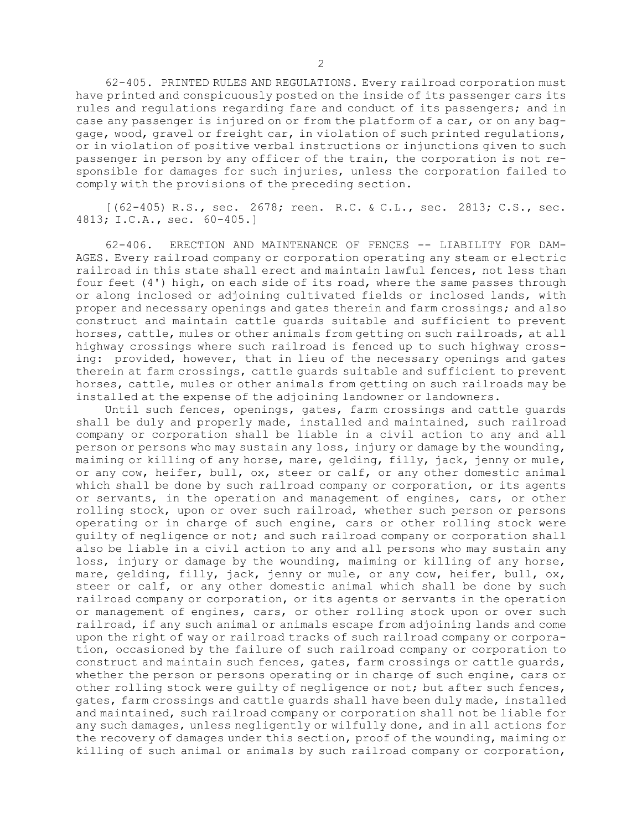62-405. PRINTED RULES AND REGULATIONS. Every railroad corporation must have printed and conspicuously posted on the inside of its passenger cars its rules and regulations regarding fare and conduct of its passengers; and in case any passenger is injured on or from the platform of <sup>a</sup> car, or on any baggage, wood, gravel or freight car, in violation of such printed regulations, or in violation of positive verbal instructions or injunctions given to such passenger in person by any officer of the train, the corporation is not responsible for damages for such injuries, unless the corporation failed to comply with the provisions of the preceding section.

[(62-405) R.S., sec. 2678; reen. R.C. & C.L., sec. 2813; C.S., sec. 4813; I.C.A., sec. 60-405.]

62-406. ERECTION AND MAINTENANCE OF FENCES -- LIABILITY FOR DAM-AGES. Every railroad company or corporation operating any steam or electric railroad in this state shall erect and maintain lawful fences, not less than four feet (4') high, on each side of its road, where the same passes through or along inclosed or adjoining cultivated fields or inclosed lands, with proper and necessary openings and gates therein and farm crossings; and also construct and maintain cattle guards suitable and sufficient to prevent horses, cattle, mules or other animals from getting on such railroads, at all highway crossings where such railroad is fenced up to such highway crossing: provided, however, that in lieu of the necessary openings and gates therein at farm crossings, cattle guards suitable and sufficient to prevent horses, cattle, mules or other animals from getting on such railroads may be installed at the expense of the adjoining landowner or landowners.

Until such fences, openings, gates, farm crossings and cattle guards shall be duly and properly made, installed and maintained, such railroad company or corporation shall be liable in <sup>a</sup> civil action to any and all person or persons who may sustain any loss, injury or damage by the wounding, maiming or killing of any horse, mare, gelding, filly, jack, jenny or mule, or any cow, heifer, bull, ox, steer or calf, or any other domestic animal which shall be done by such railroad company or corporation, or its agents or servants, in the operation and management of engines, cars, or other rolling stock, upon or over such railroad, whether such person or persons operating or in charge of such engine, cars or other rolling stock were guilty of negligence or not; and such railroad company or corporation shall also be liable in <sup>a</sup> civil action to any and all persons who may sustain any loss, injury or damage by the wounding, maiming or killing of any horse, mare, gelding, filly, jack, jenny or mule, or any cow, heifer, bull, ox, steer or calf, or any other domestic animal which shall be done by such railroad company or corporation, or its agents or servants in the operation or management of engines, cars, or other rolling stock upon or over such railroad, if any such animal or animals escape from adjoining lands and come upon the right of way or railroad tracks of such railroad company or corporation, occasioned by the failure of such railroad company or corporation to construct and maintain such fences, gates, farm crossings or cattle guards, whether the person or persons operating or in charge of such engine, cars or other rolling stock were guilty of negligence or not; but after such fences, gates, farm crossings and cattle guards shall have been duly made, installed and maintained, such railroad company or corporation shall not be liable for any such damages, unless negligently or wilfully done, and in all actions for the recovery of damages under this section, proof of the wounding, maiming or killing of such animal or animals by such railroad company or corporation,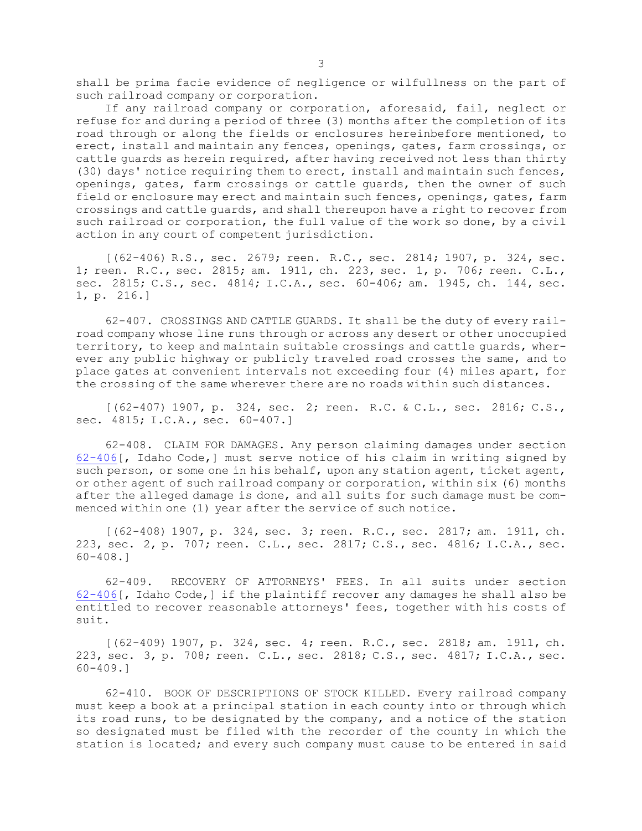shall be prima facie evidence of negligence or wilfullness on the part of such railroad company or corporation.

If any railroad company or corporation, aforesaid, fail, neglect or refuse for and during <sup>a</sup> period of three (3) months after the completion of its road through or along the fields or enclosures hereinbefore mentioned, to erect, install and maintain any fences, openings, gates, farm crossings, or cattle guards as herein required, after having received not less than thirty (30) days' notice requiring them to erect, install and maintain such fences, openings, gates, farm crossings or cattle guards, then the owner of such field or enclosure may erect and maintain such fences, openings, gates, farm crossings and cattle guards, and shall thereupon have <sup>a</sup> right to recover from such railroad or corporation, the full value of the work so done, by <sup>a</sup> civil action in any court of competent jurisdiction.

[(62-406) R.S., sec. 2679; reen. R.C., sec. 2814; 1907, p. 324, sec. 1; reen. R.C., sec. 2815; am. 1911, ch. 223, sec. 1, p. 706; reen. C.L., sec. 2815; C.S., sec. 4814; I.C.A., sec. 60-406; am. 1945, ch. 144, sec. 1, p. 216.]

62-407. CROSSINGS AND CATTLE GUARDS. It shall be the duty of every railroad company whose line runs through or across any desert or other unoccupied territory, to keep and maintain suitable crossings and cattle guards, wherever any public highway or publicly traveled road crosses the same, and to place gates at convenient intervals not exceeding four (4) miles apart, for the crossing of the same wherever there are no roads within such distances.

[(62-407) 1907, p. 324, sec. 2; reen. R.C. & C.L., sec. 2816; C.S., sec. 4815; I.C.A., sec. 60-407.]

62-408. CLAIM FOR DAMAGES. Any person claiming damages under section [62-406](https://legislature.idaho.gov/statutesrules/idstat/Title62/T62CH4/SECT62-406)[, Idaho Code,] must serve notice of his claim in writing signed by such person, or some one in his behalf, upon any station agent, ticket agent, or other agent of such railroad company or corporation, within six (6) months after the alleged damage is done, and all suits for such damage must be commenced within one (1) year after the service of such notice.

[(62-408) 1907, p. 324, sec. 3; reen. R.C., sec. 2817; am. 1911, ch. 223, sec. 2, p. 707; reen. C.L., sec. 2817; C.S., sec. 4816; I.C.A., sec. 60-408.]

62-409. RECOVERY OF ATTORNEYS' FEES. In all suits under section [62-406](https://legislature.idaho.gov/statutesrules/idstat/Title62/T62CH4/SECT62-406)[, Idaho Code,] if the plaintiff recover any damages he shall also be entitled to recover reasonable attorneys' fees, together with his costs of suit.

[(62-409) 1907, p. 324, sec. 4; reen. R.C., sec. 2818; am. 1911, ch. 223, sec. 3, p. 708; reen. C.L., sec. 2818; C.S., sec. 4817; I.C.A., sec. 60-409.]

62-410. BOOK OF DESCRIPTIONS OF STOCK KILLED. Every railroad company must keep <sup>a</sup> book at <sup>a</sup> principal station in each county into or through which its road runs, to be designated by the company, and <sup>a</sup> notice of the station so designated must be filed with the recorder of the county in which the station is located; and every such company must cause to be entered in said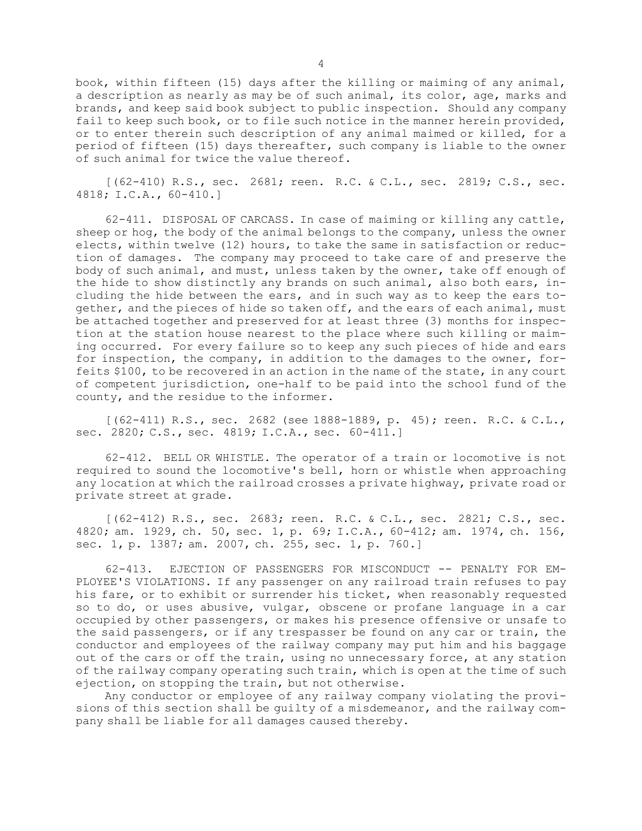book, within fifteen (15) days after the killing or maiming of any animal, <sup>a</sup> description as nearly as may be of such animal, its color, age, marks and brands, and keep said book subject to public inspection. Should any company fail to keep such book, or to file such notice in the manner herein provided, or to enter therein such description of any animal maimed or killed, for <sup>a</sup> period of fifteen (15) days thereafter, such company is liable to the owner of such animal for twice the value thereof.

[(62-410) R.S., sec. 2681; reen. R.C. & C.L., sec. 2819; C.S., sec. 4818; I.C.A., 60-410.]

62-411. DISPOSAL OF CARCASS. In case of maiming or killing any cattle, sheep or hog, the body of the animal belongs to the company, unless the owner elects, within twelve (12) hours, to take the same in satisfaction or reduction of damages. The company may proceed to take care of and preserve the body of such animal, and must, unless taken by the owner, take off enough of the hide to show distinctly any brands on such animal, also both ears, including the hide between the ears, and in such way as to keep the ears together, and the pieces of hide so taken off, and the ears of each animal, must be attached together and preserved for at least three (3) months for inspection at the station house nearest to the place where such killing or maiming occurred. For every failure so to keep any such pieces of hide and ears for inspection, the company, in addition to the damages to the owner, forfeits \$100, to be recovered in an action in the name of the state, in any court of competent jurisdiction, one-half to be paid into the school fund of the county, and the residue to the informer.

[(62-411) R.S., sec. 2682 (see 1888-1889, p. 45); reen. R.C. & C.L., sec. 2820; C.S., sec. 4819; I.C.A., sec. 60-411.]

62-412. BELL OR WHISTLE. The operator of <sup>a</sup> train or locomotive is not required to sound the locomotive's bell, horn or whistle when approaching any location at which the railroad crosses <sup>a</sup> private highway, private road or private street at grade.

[(62-412) R.S., sec. 2683; reen. R.C. & C.L., sec. 2821; C.S., sec. 4820; am. 1929, ch. 50, sec. 1, p. 69; I.C.A., 60-412; am. 1974, ch. 156, sec. 1, p. 1387; am. 2007, ch. 255, sec. 1, p. 760.]

62-413. EJECTION OF PASSENGERS FOR MISCONDUCT -- PENALTY FOR EM-PLOYEE'S VIOLATIONS. If any passenger on any railroad train refuses to pay his fare, or to exhibit or surrender his ticket, when reasonably requested so to do, or uses abusive, vulgar, obscene or profane language in <sup>a</sup> car occupied by other passengers, or makes his presence offensive or unsafe to the said passengers, or if any trespasser be found on any car or train, the conductor and employees of the railway company may put him and his baggage out of the cars or off the train, using no unnecessary force, at any station of the railway company operating such train, which is open at the time of such ejection, on stopping the train, but not otherwise.

Any conductor or employee of any railway company violating the provisions of this section shall be guilty of <sup>a</sup> misdemeanor, and the railway company shall be liable for all damages caused thereby.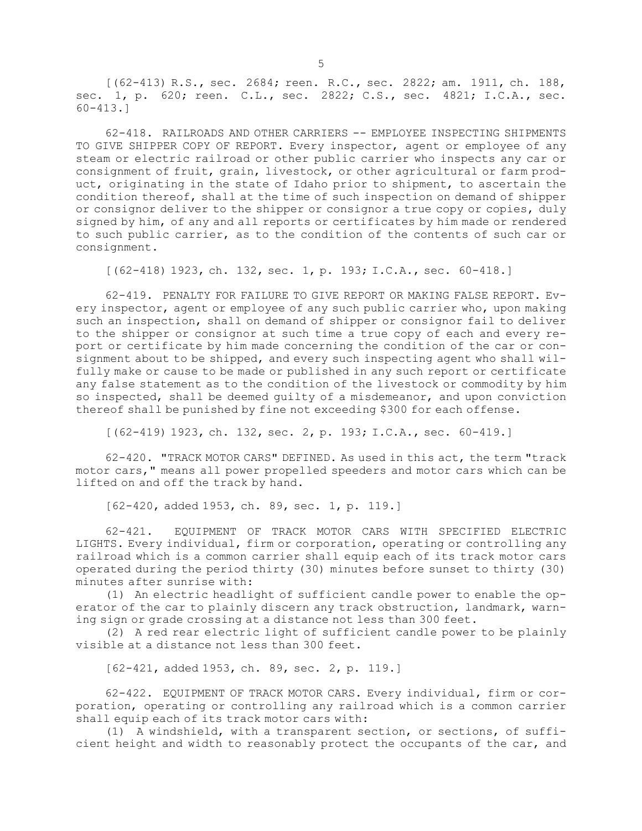[(62-413) R.S., sec. 2684; reen. R.C., sec. 2822; am. 1911, ch. 188, sec. 1, p. 620; reen. C.L., sec. 2822; C.S., sec. 4821; I.C.A., sec. 60-413.]

62-418. RAILROADS AND OTHER CARRIERS -- EMPLOYEE INSPECTING SHIPMENTS TO GIVE SHIPPER COPY OF REPORT. Every inspector, agent or employee of any steam or electric railroad or other public carrier who inspects any car or consignment of fruit, grain, livestock, or other agricultural or farm product, originating in the state of Idaho prior to shipment, to ascertain the condition thereof, shall at the time of such inspection on demand of shipper or consignor deliver to the shipper or consignor <sup>a</sup> true copy or copies, duly signed by him, of any and all reports or certificates by him made or rendered to such public carrier, as to the condition of the contents of such car or consignment.

[(62-418) 1923, ch. 132, sec. 1, p. 193; I.C.A., sec. 60-418.]

62-419. PENALTY FOR FAILURE TO GIVE REPORT OR MAKING FALSE REPORT. Every inspector, agent or employee of any such public carrier who, upon making such an inspection, shall on demand of shipper or consignor fail to deliver to the shipper or consignor at such time <sup>a</sup> true copy of each and every report or certificate by him made concerning the condition of the car or consignment about to be shipped, and every such inspecting agent who shall wilfully make or cause to be made or published in any such report or certificate any false statement as to the condition of the livestock or commodity by him so inspected, shall be deemed guilty of <sup>a</sup> misdemeanor, and upon conviction thereof shall be punished by fine not exceeding \$300 for each offense.

[(62-419) 1923, ch. 132, sec. 2, p. 193; I.C.A., sec. 60-419.]

62-420. "TRACK MOTOR CARS" DEFINED. As used in this act, the term "track motor cars," means all power propelled speeders and motor cars which can be lifted on and off the track by hand.

[62-420, added 1953, ch. 89, sec. 1, p. 119.]

62-421. EQUIPMENT OF TRACK MOTOR CARS WITH SPECIFIED ELECTRIC LIGHTS. Every individual, firm or corporation, operating or controlling any railroad which is <sup>a</sup> common carrier shall equip each of its track motor cars operated during the period thirty (30) minutes before sunset to thirty (30) minutes after sunrise with:

(1) An electric headlight of sufficient candle power to enable the operator of the car to plainly discern any track obstruction, landmark, warning sign or grade crossing at <sup>a</sup> distance not less than 300 feet.

(2) <sup>A</sup> red rear electric light of sufficient candle power to be plainly visible at <sup>a</sup> distance not less than 300 feet.

[62-421, added 1953, ch. 89, sec. 2, p. 119.]

62-422. EQUIPMENT OF TRACK MOTOR CARS. Every individual, firm or corporation, operating or controlling any railroad which is <sup>a</sup> common carrier shall equip each of its track motor cars with:

(1) <sup>A</sup> windshield, with <sup>a</sup> transparent section, or sections, of sufficient height and width to reasonably protect the occupants of the car, and